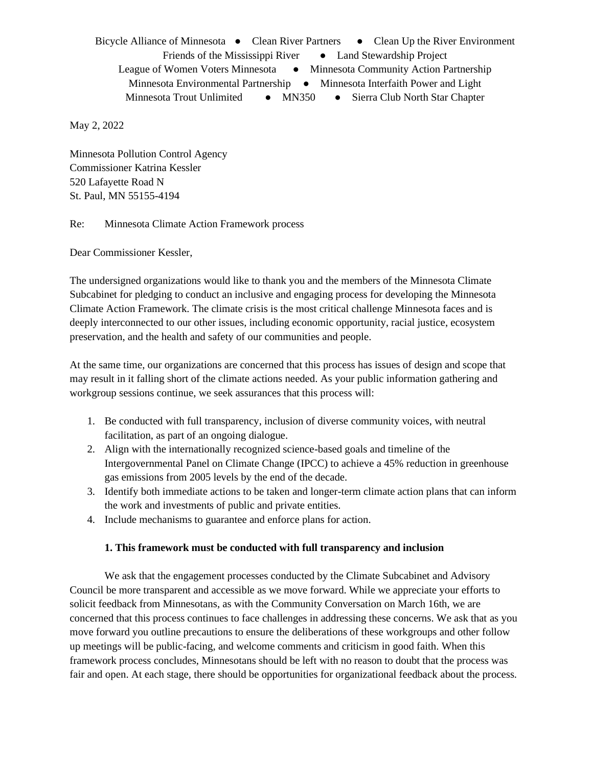Bicycle Alliance of Minnesota • Clean River Partners • Clean Up the River Environment Friends of the Mississippi River • Land Stewardship Project League of Women Voters Minnesota ● Minnesota Community Action Partnership Minnesota Environmental Partnership • Minnesota Interfaith Power and Light Minnesota Trout Unlimited • MN350 • Sierra Club North Star Chapter

May 2, 2022

Minnesota Pollution Control Agency Commissioner Katrina Kessler 520 Lafayette Road N St. Paul, MN 55155-4194

Re: Minnesota Climate Action Framework process

Dear Commissioner Kessler,

The undersigned organizations would like to thank you and the members of the Minnesota Climate Subcabinet for pledging to conduct an inclusive and engaging process for developing the Minnesota Climate Action Framework. The climate crisis is the most critical challenge Minnesota faces and is deeply interconnected to our other issues, including economic opportunity, racial justice, ecosystem preservation, and the health and safety of our communities and people.

At the same time, our organizations are concerned that this process has issues of design and scope that may result in it falling short of the climate actions needed. As your public information gathering and workgroup sessions continue, we seek assurances that this process will:

- 1. Be conducted with full transparency, inclusion of diverse community voices, with neutral facilitation, as part of an ongoing dialogue.
- 2. Align with the internationally recognized science-based goals and timeline of the Intergovernmental Panel on Climate Change (IPCC) to achieve a 45% reduction in greenhouse gas emissions from 2005 levels by the end of the decade.
- 3. Identify both immediate actions to be taken and longer-term climate action plans that can inform the work and investments of public and private entities.
- 4. Include mechanisms to guarantee and enforce plans for action.

## **1. This framework must be conducted with full transparency and inclusion**

We ask that the engagement processes conducted by the Climate Subcabinet and Advisory Council be more transparent and accessible as we move forward. While we appreciate your efforts to solicit feedback from Minnesotans, as with the Community Conversation on March 16th, we are concerned that this process continues to face challenges in addressing these concerns. We ask that as you move forward you outline precautions to ensure the deliberations of these workgroups and other follow up meetings will be public-facing, and welcome comments and criticism in good faith. When this framework process concludes, Minnesotans should be left with no reason to doubt that the process was fair and open. At each stage, there should be opportunities for organizational feedback about the process.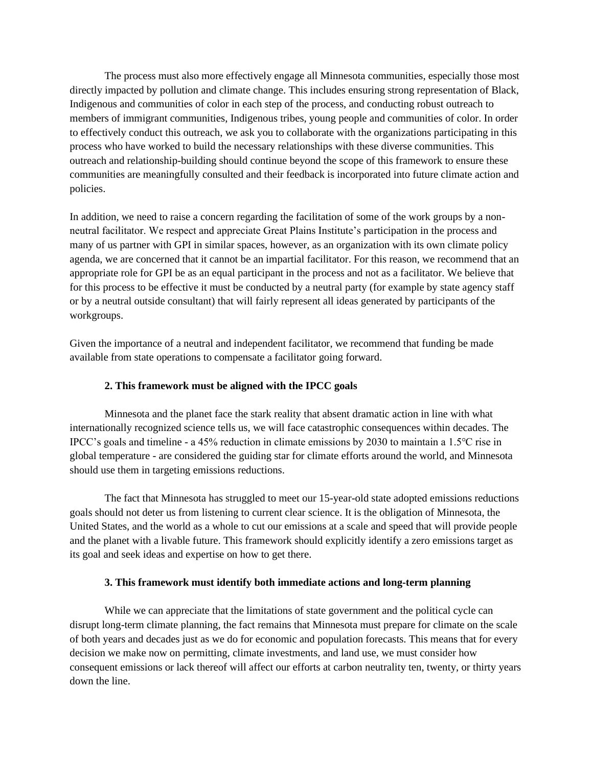The process must also more effectively engage all Minnesota communities, especially those most directly impacted by pollution and climate change. This includes ensuring strong representation of Black, Indigenous and communities of color in each step of the process, and conducting robust outreach to members of immigrant communities, Indigenous tribes, young people and communities of color. In order to effectively conduct this outreach, we ask you to collaborate with the organizations participating in this process who have worked to build the necessary relationships with these diverse communities. This outreach and relationship-building should continue beyond the scope of this framework to ensure these communities are meaningfully consulted and their feedback is incorporated into future climate action and policies.

In addition, we need to raise a concern regarding the facilitation of some of the work groups by a nonneutral facilitator. We respect and appreciate Great Plains Institute's participation in the process and many of us partner with GPI in similar spaces, however, as an organization with its own climate policy agenda, we are concerned that it cannot be an impartial facilitator. For this reason, we recommend that an appropriate role for GPI be as an equal participant in the process and not as a facilitator. We believe that for this process to be effective it must be conducted by a neutral party (for example by state agency staff or by a neutral outside consultant) that will fairly represent all ideas generated by participants of the workgroups.

Given the importance of a neutral and independent facilitator, we recommend that funding be made available from state operations to compensate a facilitator going forward.

## **2. This framework must be aligned with the IPCC goals**

Minnesota and the planet face the stark reality that absent dramatic action in line with what internationally recognized science tells us, we will face catastrophic consequences within decades. The IPCC's goals and timeline - a 45% reduction in climate emissions by 2030 to maintain a 1.5℃ rise in global temperature - are considered the guiding star for climate efforts around the world, and Minnesota should use them in targeting emissions reductions.

The fact that Minnesota has struggled to meet our 15-year-old state adopted emissions reductions goals should not deter us from listening to current clear science. It is the obligation of Minnesota, the United States, and the world as a whole to cut our emissions at a scale and speed that will provide people and the planet with a livable future. This framework should explicitly identify a zero emissions target as its goal and seek ideas and expertise on how to get there.

## **3. This framework must identify both immediate actions and long-term planning**

While we can appreciate that the limitations of state government and the political cycle can disrupt long-term climate planning, the fact remains that Minnesota must prepare for climate on the scale of both years and decades just as we do for economic and population forecasts. This means that for every decision we make now on permitting, climate investments, and land use, we must consider how consequent emissions or lack thereof will affect our efforts at carbon neutrality ten, twenty, or thirty years down the line.